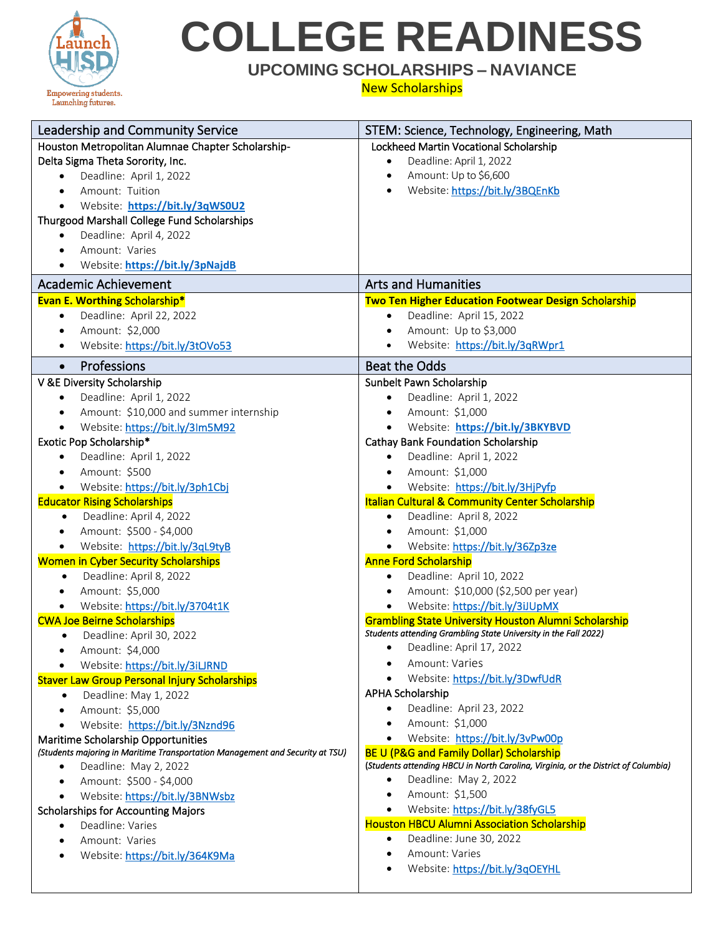

# **COLLEGE READINESS**

### **UPCOMING SCHOLARSHIPS – NAVIANCE**

#### New Scholarships

| Leadership and Community Service                                              | STEM: Science, Technology, Engineering, Math                                                                |
|-------------------------------------------------------------------------------|-------------------------------------------------------------------------------------------------------------|
| Houston Metropolitan Alumnae Chapter Scholarship-                             | Lockheed Martin Vocational Scholarship                                                                      |
| Delta Sigma Theta Sorority, Inc.                                              | Deadline: April 1, 2022<br>$\bullet$                                                                        |
| Deadline: April 1, 2022<br>$\bullet$                                          | Amount: Up to \$6,600<br>$\bullet$                                                                          |
| Amount: Tuition<br>$\bullet$                                                  | Website: https://bit.ly/3BQEnKb                                                                             |
| Website: https://bit.ly/3qWS0U2<br>$\bullet$                                  |                                                                                                             |
| Thurgood Marshall College Fund Scholarships                                   |                                                                                                             |
| Deadline: April 4, 2022<br>٠                                                  |                                                                                                             |
| Amount: Varies<br>$\bullet$                                                   |                                                                                                             |
| Website: https://bit.ly/3pNajdB<br>$\bullet$                                  |                                                                                                             |
| <b>Academic Achievement</b>                                                   | <b>Arts and Humanities</b>                                                                                  |
| <b>Evan E. Worthing Scholarship*</b>                                          | <b>Two Ten Higher Education Footwear Design Scholarship</b>                                                 |
| Deadline: April 22, 2022<br>$\bullet$                                         | Deadline: April 15, 2022<br>$\bullet$                                                                       |
| Amount: \$2,000<br>$\bullet$                                                  | Amount: Up to \$3,000<br>$\bullet$                                                                          |
| Website: https://bit.ly/3tOVo53<br>$\bullet$                                  | Website: https://bit.ly/3qRWpr1                                                                             |
| Professions<br>$\bullet$                                                      | <b>Beat the Odds</b>                                                                                        |
| V &E Diversity Scholarship                                                    | Sunbelt Pawn Scholarship                                                                                    |
| Deadline: April 1, 2022<br>$\bullet$                                          | Deadline: April 1, 2022                                                                                     |
| Amount: \$10,000 and summer internship<br>$\bullet$                           | Amount: \$1,000<br>$\bullet$                                                                                |
| Website: https://bit.ly/3Im5M92<br>$\bullet$                                  | Website: https://bit.ly/3BKYBVD<br>$\bullet$                                                                |
| Exotic Pop Scholarship*                                                       | <b>Cathay Bank Foundation Scholarship</b>                                                                   |
| Deadline: April 1, 2022<br>$\bullet$                                          | Deadline: April 1, 2022<br>$\bullet$                                                                        |
| Amount: \$500<br>$\bullet$                                                    | Amount: \$1,000<br>$\bullet$                                                                                |
| Website: https://bit.ly/3ph1Cbj                                               | Website: https://bit.ly/3HjPyfp                                                                             |
| <b>Educator Rising Scholarships</b>                                           | <b>Italian Cultural &amp; Community Center Scholarship</b>                                                  |
| Deadline: April 4, 2022<br>$\bullet$                                          | Deadline: April 8, 2022<br>$\bullet$                                                                        |
| Amount: \$500 - \$4,000<br>$\bullet$                                          | Amount: \$1,000                                                                                             |
| Website: https://bit.ly/3qL9tyB<br>٠                                          | Website: https://bit.ly/36Zp3ze                                                                             |
| <b>Women in Cyber Security Scholarships</b>                                   | <b>Anne Ford Scholarship</b>                                                                                |
| Deadline: April 8, 2022<br>$\bullet$                                          | Deadline: April 10, 2022<br>$\bullet$                                                                       |
| Amount: \$5,000<br>$\bullet$                                                  | Amount: \$10,000 (\$2,500 per year)<br>$\bullet$                                                            |
| Website: https://bit.ly/3704t1K<br>$\bullet$                                  | Website: https://bit.ly/3iJUpMX                                                                             |
| <b>CWA Joe Beirne Scholarships</b>                                            | <b>Grambling State University Houston Alumni Scholarship</b>                                                |
| Deadline: April 30, 2022<br>$\bullet$                                         | Students attending Grambling State University in the Fall 2022)                                             |
| Amount: \$4,000                                                               | • Deadline: April 17, 2022                                                                                  |
| Website: https://bit.ly/3iLJRND                                               | Amount: Varies                                                                                              |
| <b>Staver Law Group Personal Injury Scholarships</b>                          | Website: https://bit.ly/3DwfUdR                                                                             |
| Deadline: May 1, 2022<br>$\bullet$                                            | <b>APHA Scholarship</b>                                                                                     |
| Amount: \$5,000<br>$\bullet$                                                  | Deadline: April 23, 2022                                                                                    |
| Website: https://bit.ly/3Nznd96<br>$\bullet$                                  | Amount: \$1,000<br>$\bullet$                                                                                |
| Maritime Scholarship Opportunities                                            | Website: https://bit.ly/3vPw00p<br>$\bullet$                                                                |
| (Students majoring in Maritime Transportation Management and Security at TSU) | <b>BE U (P&amp;G and Family Dollar) Scholarship</b>                                                         |
| Deadline: May 2, 2022<br>$\bullet$                                            | (Students attending HBCU in North Carolina, Virginia, or the District of Columbia)<br>Deadline: May 2, 2022 |
| Amount: \$500 - \$4,000<br>$\bullet$                                          | Amount: \$1,500<br>$\bullet$                                                                                |
| Website: https://bit.ly/3BNWsbz<br>$\bullet$                                  | Website: https://bit.ly/38fyGL5<br>$\bullet$                                                                |
| <b>Scholarships for Accounting Majors</b>                                     | <b>Houston HBCU Alumni Association Scholarship</b>                                                          |
| Deadline: Varies<br>$\bullet$                                                 | Deadline: June 30, 2022<br>$\bullet$                                                                        |
| Amount: Varies<br>$\bullet$                                                   | Amount: Varies<br>٠                                                                                         |
| Website: https://bit.ly/364K9Ma                                               | Website: https://bit.ly/3qOEYHL                                                                             |
|                                                                               |                                                                                                             |